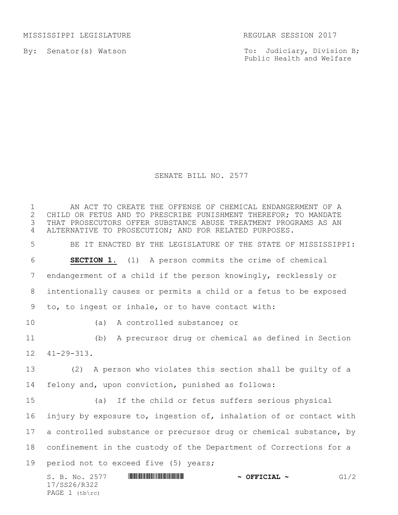MISSISSIPPI LEGISLATURE **REGULAR SESSION 2017** 

By: Senator(s) Watson

PAGE  $1$  (tb\rc)

To: Judiciary, Division B; Public Health and Welfare

## SENATE BILL NO. 2577

S. B. No. 2577 \*SS26/R322\* **~ OFFICIAL ~** G1/2 17/SS26/R322 1 THE AN ACT TO CREATE THE OFFENSE OF CHEMICAL ENDANGERMENT OF A<br>2 CHILD OR FETUS AND TO PRESCRIBE PUNISHMENT THEREFOR: TO MANDATE 2 CHILD OR FETUS AND TO PRESCRIBE PUNISHMENT THEREFOR; TO MANDATE<br>3 THAT PROSECUTORS OFFER SUBSTANCE ABUSE TREATMENT PROGRAMS AS AN THAT PROSECUTORS OFFER SUBSTANCE ABUSE TREATMENT PROGRAMS AS AN ALTERNATIVE TO PROSECUTION; AND FOR RELATED PURPOSES. BE IT ENACTED BY THE LEGISLATURE OF THE STATE OF MISSISSIPPI: **SECTION 1.** (1) A person commits the crime of chemical endangerment of a child if the person knowingly, recklessly or intentionally causes or permits a child or a fetus to be exposed to, to ingest or inhale, or to have contact with: (a) A controlled substance; or (b) A precursor drug or chemical as defined in Section 41-29-313. (2) A person who violates this section shall be guilty of a felony and, upon conviction, punished as follows: (a) If the child or fetus suffers serious physical injury by exposure to, ingestion of, inhalation of or contact with 17 a controlled substance or precursor drug or chemical substance, by confinement in the custody of the Department of Corrections for a period not to exceed five (5) years;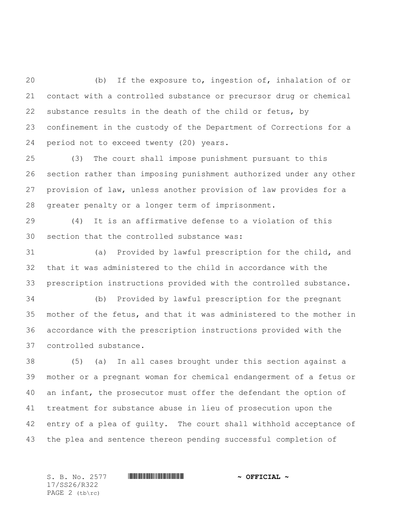(b) If the exposure to, ingestion of, inhalation of or contact with a controlled substance or precursor drug or chemical substance results in the death of the child or fetus, by confinement in the custody of the Department of Corrections for a period not to exceed twenty (20) years.

 (3) The court shall impose punishment pursuant to this section rather than imposing punishment authorized under any other provision of law, unless another provision of law provides for a greater penalty or a longer term of imprisonment.

 (4) It is an affirmative defense to a violation of this section that the controlled substance was:

 (a) Provided by lawful prescription for the child, and that it was administered to the child in accordance with the prescription instructions provided with the controlled substance.

 (b) Provided by lawful prescription for the pregnant mother of the fetus, and that it was administered to the mother in accordance with the prescription instructions provided with the controlled substance.

 (5) (a) In all cases brought under this section against a mother or a pregnant woman for chemical endangerment of a fetus or an infant, the prosecutor must offer the defendant the option of treatment for substance abuse in lieu of prosecution upon the entry of a plea of guilty. The court shall withhold acceptance of the plea and sentence thereon pending successful completion of

17/SS26/R322 PAGE 2 (tb\rc)

S. B. No. 2577 \*SS26/R322\* **~ OFFICIAL ~**